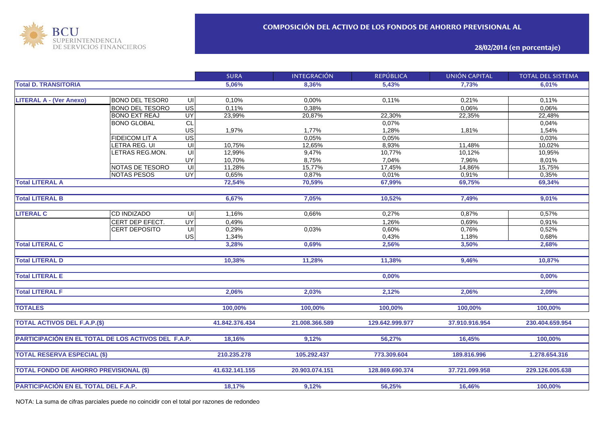

**28/02/2014 (en porcentaje)**

|                                                     |                        |                         | <b>SURA</b>    | <b>INTEGRACIÓN</b> | <b>REPÚBLICA</b> | <b>UNIÓN CAPITAL</b> | <b>TOTAL DEL SISTEMA</b> |
|-----------------------------------------------------|------------------------|-------------------------|----------------|--------------------|------------------|----------------------|--------------------------|
| <b>Total D. TRANSITORIA</b>                         |                        | 5,06%                   | 8,36%          | 5,43%              | 7,73%            | 6.01%                |                          |
|                                                     |                        |                         |                |                    |                  |                      |                          |
| <b>LITERAL A - (Ver Anexo)</b>                      | <b>BONO DEL TESOR0</b> | UI                      | 0,10%          | 0,00%              | 0,11%            | 0,21%                | 0,11%                    |
|                                                     | <b>BONO DEL TESORO</b> | $\overline{US}$         | 0,11%          | 0,38%              |                  | 0,06%                | 0,06%                    |
|                                                     | <b>BONO EXT REAJ</b>   | UY                      | 23,99%         | 20,87%             | 22,30%           | 22,35%               | 22,48%                   |
|                                                     | <b>BONO GLOBAL</b>     | $\overline{c}$          |                |                    | 0,07%            |                      | 0,04%                    |
|                                                     |                        | US                      | 1,97%          | 1,77%              | 1,28%            | 1,81%                | 1,54%                    |
|                                                     | <b>FIDEICOM LIT A</b>  | $\overline{US}$         |                | 0,05%              | 0,05%            |                      | 0,03%                    |
|                                                     | LETRA REG. UI          | UI                      | 10,75%         | 12,65%             | 8,93%            | 11,48%               | 10,02%                   |
|                                                     | LETRAS REG.MON.        | UI                      | 12,99%         | 9,47%              | 10,77%           | 10,12%               | 10,95%                   |
|                                                     |                        | UY                      | 10,70%         | 8,75%              | 7,04%            | 7,96%                | 8,01%                    |
|                                                     | NOTAS DE TESORO        | $\overline{\mathsf{C}}$ | 11,28%         | 15,77%             | 17,45%           | 14,86%               | 15,75%                   |
|                                                     | <b>NOTAS PESOS</b>     | $\overline{\mathsf{C}}$ | 0,65%          | 0,87%              | 0,01%            | 0,91%                | 0,35%                    |
| <b>Total LITERAL A</b>                              |                        |                         | 72,54%         | 70,59%             | 67,99%           | 69,75%               | 69,34%                   |
|                                                     |                        |                         |                |                    |                  |                      |                          |
| <b>Total LITERAL B</b>                              |                        | 6,67%                   | 7,05%          | 10,52%             | 7,49%            | 9,01%                |                          |
|                                                     |                        |                         |                |                    |                  |                      |                          |
| <b>LITERAL C</b>                                    | <b>CD INDIZADO</b>     | UI                      | 1,16%          | 0,66%              | 0,27%            | 0,87%                | 0,57%                    |
|                                                     | CERT DEP EFECT.        | UY                      | 0,49%          |                    | 1,26%            | 0,69%                | 0,91%                    |
|                                                     | <b>CERT DEPOSITO</b>   | $\subseteq$             | 0,29%          | 0.03%              | 0,60%            | 0,76%                | 0,52%                    |
|                                                     |                        | US                      | 1,34%          |                    | 0,43%            | 1,18%                | 0,68%                    |
| <b>Total LITERAL C</b>                              |                        |                         | 3,28%          | 0,69%              | 2,56%            | 3,50%                | 2,68%                    |
|                                                     |                        |                         |                |                    |                  |                      |                          |
| <b>Total LITERAL D</b>                              |                        |                         | 10,38%         | 11,28%             | 11,38%           | 9,46%                | 10,87%                   |
|                                                     |                        |                         |                |                    |                  |                      |                          |
| <b>Total LITERAL E</b>                              |                        |                         |                |                    | 0,00%            |                      | 0,00%                    |
|                                                     |                        |                         |                |                    |                  |                      |                          |
| <b>Total LITERAL F</b>                              |                        |                         | 2,06%          | 2,03%              | 2,12%            | 2,06%                | 2,09%                    |
|                                                     |                        |                         |                |                    |                  |                      |                          |
| <b>TOTALES</b>                                      |                        |                         | 100,00%        | 100,00%            | 100,00%          | 100,00%              | 100,00%                  |
|                                                     |                        |                         |                |                    |                  |                      |                          |
| <b>TOTAL ACTIVOS DEL F.A.P.(\$)</b>                 |                        |                         | 41.842.376.434 | 21.008.366.589     | 129.642.999.977  | 37.910.916.954       | 230.404.659.954          |
|                                                     |                        |                         |                |                    |                  |                      |                          |
| PARTICIPACIÓN EN EL TOTAL DE LOS ACTIVOS DEL F.A.P. |                        |                         | 18,16%         | 9,12%              | 56,27%           | 16,45%               | 100.00%                  |
|                                                     |                        |                         |                |                    |                  |                      |                          |
| <b>TOTAL RESERVA ESPECIAL (\$)</b>                  |                        |                         | 210.235.278    | 105.292.437        | 773.309.604      | 189.816.996          | 1.278.654.316            |
|                                                     |                        |                         |                |                    |                  |                      |                          |
| <b>TOTAL FONDO DE AHORRO PREVISIONAL (\$)</b>       |                        |                         | 41.632.141.155 | 20.903.074.151     | 128.869.690.374  | 37.721.099.958       | 229.126.005.638          |
|                                                     |                        |                         |                |                    |                  |                      |                          |
|                                                     |                        |                         | 18,17%         | 9,12%              | 56,25%           | 16,46%               | 100,00%                  |
| PARTICIPACIÓN EN EL TOTAL DEL F.A.P.                |                        |                         |                |                    |                  |                      |                          |

NOTA: La suma de cifras parciales puede no coincidir con el total por razones de redondeo